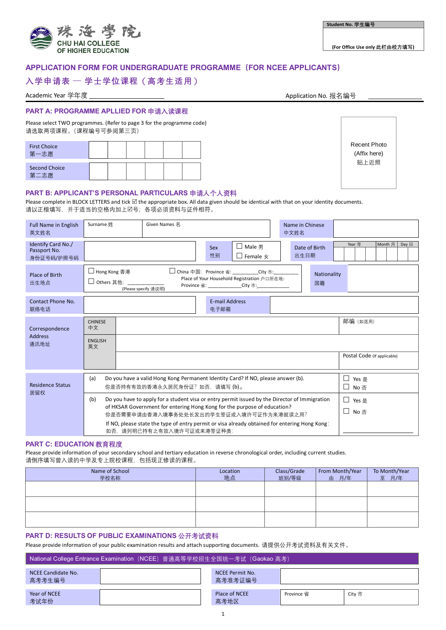

**(For Office Use only 此栏由校方填写)**

# **APPLICATION FORM FOR UNDERGRADUATE PROGRAMME(FOR NCEE APPLICANTS)**

# **入学申请表 ─ 学士学位课程**(**高考生适用**)

Academic Year 学年度 Application No. 报名编号

# **PART A: PROGRAMME APLLIED FOR 申请入读课程**

Please select TWO programmes. (Refer to page 3 for the programme code) 请选取两项课程。(课程编号可参阅第三页)

| <b>First Choice</b><br>臣<br>篧 |  |  |  |
|-------------------------------|--|--|--|
| <b>Second Choice</b><br>百     |  |  |  |

Recent Photo (Affix here) 贴上近照

# **PART B: APPLICANT'S PERSONAL PARTICULARS 申请人个人资料**

Please complete in BLOCK LETTERS and tick  $\Box$  the appropriate box. All data given should be identical with that on your identity documents. 请以正楷填写,并于适当的空格内加上号;各项必须资料与证件相符。

| <b>Full Name in English</b><br>英文姓名              | Surname 姓                                                                                                                                                                                                                                        | Given Names 名        |                                                                                                                                          | Name in Chinese<br>中文姓名 |                   |                                      |
|--------------------------------------------------|--------------------------------------------------------------------------------------------------------------------------------------------------------------------------------------------------------------------------------------------------|----------------------|------------------------------------------------------------------------------------------------------------------------------------------|-------------------------|-------------------|--------------------------------------|
| Identify Card No./<br>Passport No.<br>身份证号码/护照号码 |                                                                                                                                                                                                                                                  |                      | $\Box$ Male 男<br>Sex<br>性别<br>$\Box$ Female $\star$                                                                                      | 出生日期                    | Date of Birth     | Month 月<br>Year 年<br>Day $\boxminus$ |
| Place of Birth<br>出生地点                           | □ Hong Kong 香港<br>□ Others 其他:                                                                                                                                                                                                                   | (Please specify 请说明) | □ China 中国: Province 省:         City 市:<br>Place of Your Household Registration 户口所在地:<br>Province 省: ______________City 市: ____________ |                         | Nationality<br>国籍 |                                      |
| Contact Phone No.<br>联络电话                        |                                                                                                                                                                                                                                                  |                      | <b>E-mail Address</b><br>电子邮箱                                                                                                            |                         |                   |                                      |
| Correspondence                                   | <b>CHINESE</b><br>中文                                                                                                                                                                                                                             |                      |                                                                                                                                          |                         |                   | 邮编 (如适用)                             |
| <b>Address</b><br>通讯地址                           | <b>ENGLISH</b><br>英文                                                                                                                                                                                                                             |                      |                                                                                                                                          |                         |                   |                                      |
|                                                  |                                                                                                                                                                                                                                                  |                      |                                                                                                                                          |                         |                   | Postal Code (If applicable)          |
| <b>Residence Status</b><br>居留权                   | Do you have a valid Hong Kong Permanent Identity Card? If NO, please answer (b).<br>(a)<br>□ Yes 是<br>□ No 否<br>你是否持有有效的香港永久居民身份证?如否,请填写(b)。                                                                                                     |                      |                                                                                                                                          |                         |                   |                                      |
|                                                  | Do you have to apply for a student visa or entry permit issued by the Director of Immigration<br>(b)<br>□ Yes 是<br>of HKSAR Government for entering Hong Kong for the purpose of education?<br>□ No 否<br>你是否需要申请由香港入境事务处处长发出的学生签证或入境许可证作为来港就读之用? |                      |                                                                                                                                          |                         |                   |                                      |
|                                                  | If NO, please state the type of entry permit or visa already obtained for entering Hong Kong:<br>如否,请列明已持有之有效入境许可证或来港签证种类:                                                                                                                       |                      |                                                                                                                                          |                         |                   |                                      |

### **PART C: EDUCATION 教育程度**

Please provide information of your secondary school and tertiary education in reverse chronological order, including current studies. 请倒序填写曾入读的中学及专上院校课程,包括现正修读的课程。

| Name of School<br>学校名称 | Location<br>地点 | Class/Grade<br>班别/等级 | From Month/Year<br>由 月/年 | To Month/Year<br>至 月/年 |
|------------------------|----------------|----------------------|--------------------------|------------------------|
|                        |                |                      |                          |                        |
|                        |                |                      |                          |                        |
|                        |                |                      |                          |                        |

#### **PART D: RESULTS OF PUBLIC EXAMINATIONS 公开考试资料**

Please provide information of your public examination results and attach supporting documents. 请提供公开考试资料及有关文件。

| ■ National College Entrance Examination (NCEE) 普通高等学校招生全国统一考试 (Gaokao 高考) |  |  |                            |            |        |
|---------------------------------------------------------------------------|--|--|----------------------------|------------|--------|
| NCEE Candidate No.<br>高考考生编号                                              |  |  | NCEE Permit No.<br>高考准考证编号 |            |        |
| Year of NCEE<br>考试年份                                                      |  |  | Place of NCEE<br>高考地区      | Province 省 | City 市 |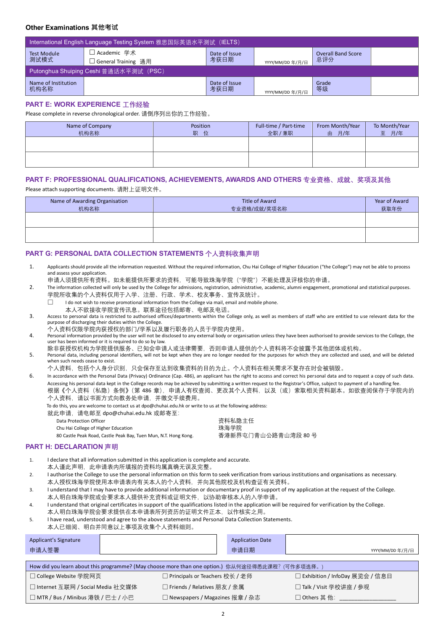# **Other Examinations 其他考试**

| International English Language Testing System 雅思国际英语水平测试(IELTS) |                                       |                       |                  |                                  |  |
|-----------------------------------------------------------------|---------------------------------------|-----------------------|------------------|----------------------------------|--|
| <b>Test Module</b><br>测试模式                                      | 「Academic 学术<br>] General Training 诵用 | Date of Issue<br>考获日期 | YYYY/MM/DD 年/月/日 | <b>Overall Band Score</b><br>总评分 |  |
| Putonghua Shuiping Ceshi 普通话水平测试(PSC)                           |                                       |                       |                  |                                  |  |
| Name of Institution<br>机构名称                                     |                                       | Date of Issue<br>考获日期 | YYYY/MM/DD 年/月/日 | Grade<br>等级                      |  |

### **PART E: WORK EXPERIENCE 工作经验**

Please complete in reverse chronological order. 请倒序列出你的工作经验。

| Name of Company<br>机构名称 | Position<br>职<br>位 | Full-time / Part-time<br>全职 / 兼职 | From Month/Year<br>月/年<br>由 | To Month/Year<br>至 月/年 |
|-------------------------|--------------------|----------------------------------|-----------------------------|------------------------|
|                         |                    |                                  |                             |                        |
|                         |                    |                                  |                             |                        |

#### **PART F: PROFESSIONAL QUALIFICATIONS, ACHIEVEMENTS, AWARDS AND OTHERS 专业资格、成就、奖项及其他**

Please attach supporting documents. 请附上证明文件。

| Name of Awarding Organisation<br>机构名称 | Title of Award<br>专业资格/成就/奖项名称 | Year of Award<br>获取年份 |
|---------------------------------------|--------------------------------|-----------------------|
|                                       |                                |                       |
|                                       |                                |                       |

#### **PART G: PERSONAL DATA COLLECTION STATEMENTS 个人资料收集声明**

1. Applicants should provide all the information requested. Without the required information, Chu Hai College of Higher Education ("the College") may not be able to process and assess your application.

申请人须提供所有资料。如未能提供所要求的资料,可能导致珠海学院("学院")不能处理及评核你的申请。

- 2. The information collected will only be used by the College for admissions, registration, administrative, academic, alumni engagement, promotional and statistical purposes. 学院所收集的个人资料仅用于入学、注册、行政、学术、校友事务、宣传及统计。
	- $\Box$  I do not wish to receive promotional information from the College via mail, email and mobile phone.
		- 本人不欲接收学院宣传讯息。联系途径包括邮寄、电邮及电话。
- 3. Access to personal data is restricted to authorised offices/departments within the College only, as well as members of staff who are entitled to use relevant data for the purpose of discharging their duties within the College.
- 个人资料仅限学院内获授权的部门/学系以及履行职务的人员于学院内使用。
- 4. Personal information provided by the user will not be disclosed to any external body or organisation unless they have been authorised to provide services to the College, the user has been informed or it is required to do so by law.

除非获授权机构为学院提供服务、已知会申请人或法律需要,否则申请人提供的个人资料将不会披露予其他团体或机构。

- 5. Personal data, including personal identifiers, will not be kept when they are no longer needed for the purposes for which they are collected and used, and will be deleted when such needs cease to exist.
	- 个人资料,包括个人身分识别,只会保存至达到收集资料的目的为止。个人资料在相关需求不复存在时会被销毁。

6. In accordance with the Personal Data (Privacy) Ordinance (Cap. 486), an applicant has the right to access and correct his personal data and to request a copy of such data. Accessing his personal data kept in the College records may be achieved by submitting a written request to the Registrar's Office, subject to payment of a handling fee. 根据《个人资料(私隐)条例》(第 486 章),申请人有权查阅、更改其个人资料,以及(或)索取相关资料副本。如欲查阅保存于学院内的 个人资料,请以书面方式向教务处申请,并缴交手续费用。

| To do this, you are welcome to contact us at dpo@chuhai.edu.hk or write to us at the following address: |  |  |
|---------------------------------------------------------------------------------------------------------|--|--|
|                                                                                                         |  |  |

就此申请,请电邮至 dpo@chuhai.edu.hk 或邮寄至:

Data Protection Officer カランド マンチャンプ おおところ おおところ おおところ おおところ うちだん うちだん おおところ おおところ おおところ おおところ こうしゃ つうしゃ つきかい おおところ こうしょう

Chu Hai College of Higher Education **the collect of the collect of the collect of the collect of the collect of** 

80 Castle Peak Road, Castle Peak Bay, Tuen Mun, N.T. Hong Kong. 香港新界屯门青山公路青山湾段 80 号

#### **PART H: DECLARATION 声明**

- 1. I declare that all information submitted in this application is complete and accurate. 本人谨此声明,此申请表内所填报的资料均属真确无误及完整。
- 2. I authorise the College to use the personal information on this form to seek verification from various institutions and organisations as necessary. 本人授权珠海学院使用本申请表内有关本人的个人资料,并向其他院校及机构查证有关资料。
- 3. I understand that I may have to provide additional information or documentary proof in support of my application at the request of the College. 本人明白珠海学院或会要求本人提供补充资料或证明文件,以协助审核本人的入学申请。
- 4. I understand that original certificates in support of the qualifications listed in the application will be required for verification by the College.
- 本人明白珠海学院会要求提供在本申请表所列资历的证明文件正本,以作核实之用。
- 5. I have read, understood and agree to the above statements and Personal Data Collection Statements.
- 本人已细阅、明白并同意以上事项及收集个人资料细则。

| Applicant's Signature<br>申请人签署                                                                                                                                                                                                                                                                                         |  |  | <b>Application Date</b><br>申请日期 | YYYY/MM/DD 年/月/日 |  |
|------------------------------------------------------------------------------------------------------------------------------------------------------------------------------------------------------------------------------------------------------------------------------------------------------------------------|--|--|---------------------------------|------------------|--|
| $1)$ $\frac{1}{2}$ $\frac{1}{2}$ $\frac{1}{2}$ $\frac{1}{2}$ $\frac{1}{2}$ $\frac{1}{2}$ $\frac{1}{2}$ $\frac{1}{2}$ $\frac{1}{2}$ $\frac{1}{2}$ $\frac{1}{2}$ $\frac{1}{2}$ $\frac{1}{2}$ $\frac{1}{2}$ $\frac{1}{2}$ $\frac{1}{2}$ $\frac{1}{2}$ $\frac{1}{2}$ $\frac{1}{2}$ $\frac{1}{2}$ $\frac{1}{2}$ $\frac{1}{$ |  |  |                                 |                  |  |

| How did you learn about this programme? (May choose more than one option.) 你从何途径得悉此课程? (可作多项选择。 |                                  |                                  |  |
|-------------------------------------------------------------------------------------------------|----------------------------------|----------------------------------|--|
| □ College Website 学院网页                                                                          | □ Principals or Teachers 校长 / 老师 | □ Exhibition / InfoDay 展览会 / 信息日 |  |
| □ Internet 互联网 / Social Media 社交媒体                                                              | □ Friends / Relatives 朋友 / 亲属    | □ Talk / Visit 学校讲座 / 参观         |  |
| │ □ MTR / Bus / Minibus 港铁 / 巴士 / 小巴│                                                           | □ Newspapers / Magazines 报章 / 杂志 | □ Others 其 他:                    |  |